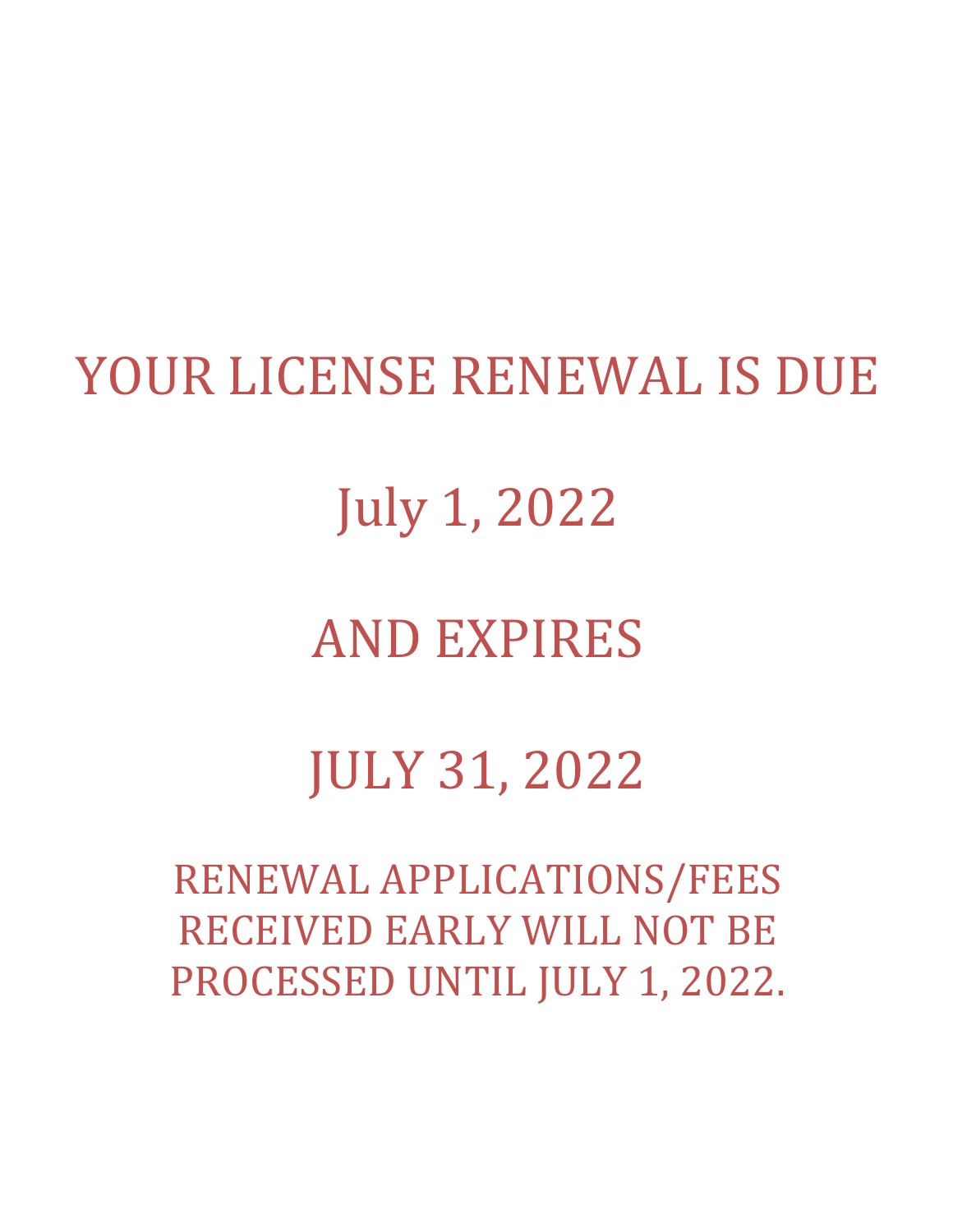## YOUR LICENSE RENEWAL IS DUE

July 1, 2022

## **AND EXPIRES**

# JULY 31, 2022

RENEWAL APPLICATIONS/FEES RECEIVED EARLY WILL NOT BE PROCESSED UNTIL JULY 1, 2022.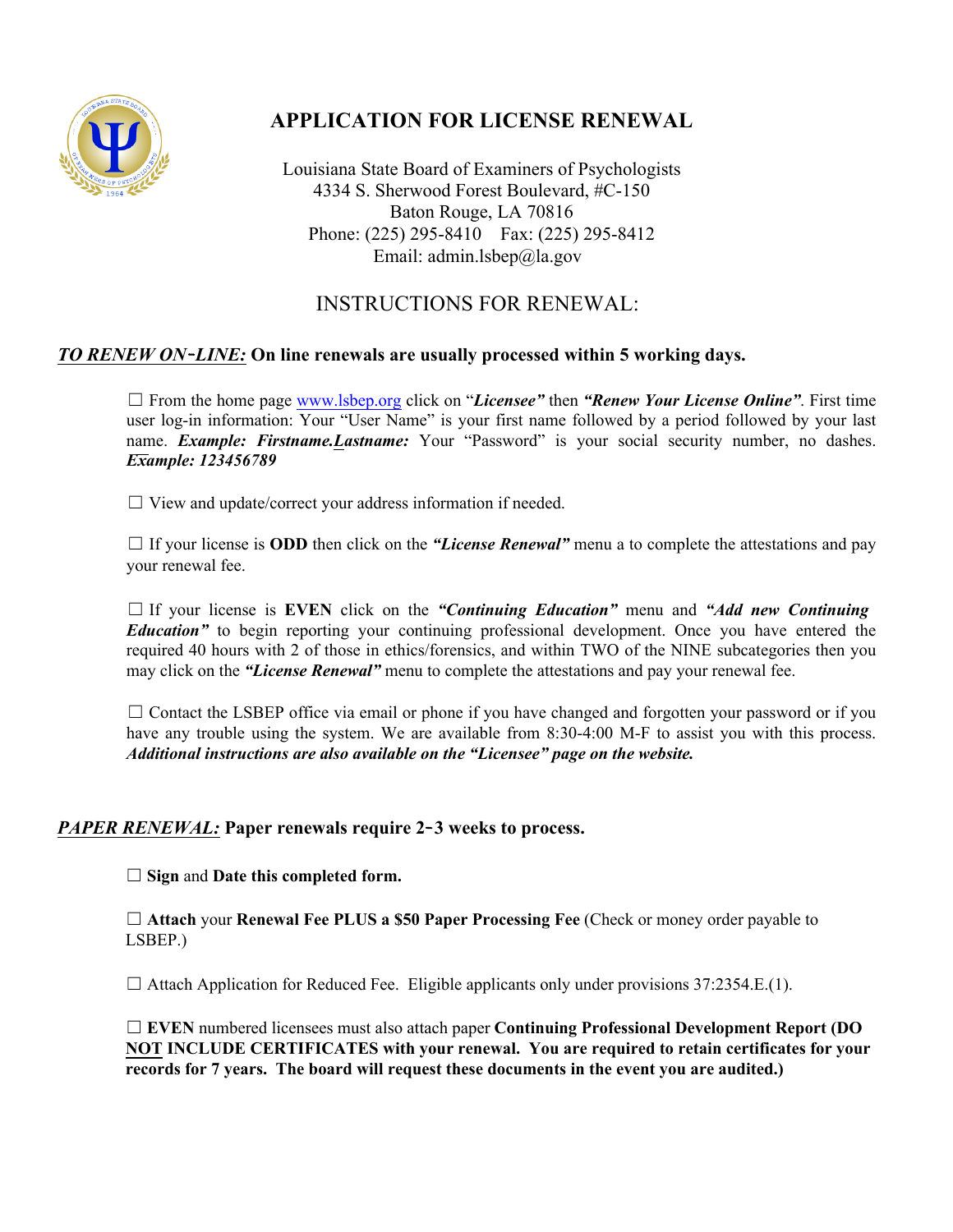

## **APPLICATION FOR LICENSE RENEWAL**

Louisiana State Board of Examiners of Psychologists 4334 S. Sherwood Forest Boulevard, #C-150 Baton Rouge, LA 70816 Phone: (225) 295-8410 Fax: (225) 295-8412 Email: admin.lsbep@la.gov

### INSTRUCTIONS FOR RENEWAL:

#### *TO RENEW ON***-***LINE:* **On line renewals are usually processed within 5 working days.**

☐ From the home page www.lsbep.org click on "*Licensee"* then *"Renew Your License Online"*. First time user log-in information: Your "User Name" is your first name followed by a period followed by your last name. *Example: Firstname. Lastname:* Your "Password" is your social security number, no dashes. *Example: 123456789*

 $\Box$  View and update/correct your address information if needed.

 $\Box$  If your license is **ODD** then click on the *"License Renewal"* menu a to complete the attestations and pay your renewal fee.

☐ If your license is **EVEN** click on the *"Continuing Education"* menu and *"Add new Continuing Education* to begin reporting your continuing professional development. Once you have entered the required 40 hours with 2 of those in ethics/forensics, and within TWO of the NINE subcategories then you may click on the *"License Renewal"* menu to complete the attestations and pay your renewal fee.

 $\Box$  Contact the LSBEP office via email or phone if you have changed and forgotten your password or if you have any trouble using the system. We are available from 8:30-4:00 M-F to assist you with this process. *Additional instructions are also available on the "Licensee" page on the website.*

#### *PAPER RENEWAL:* **Paper renewals require 2-3 weeks to process.**

☐ **Sign** and **Date this completed form.**

☐ **Attach** your **Renewal Fee PLUS a \$50 Paper Processing Fee** (Check or money order payable to LSBEP.)

 $\Box$  Attach Application for Reduced Fee. Eligible applicants only under provisions 37:2354.E.(1).

☐ **EVEN** numbered licensees must also attach paper **Continuing Professional Development Report (DO NOT INCLUDE CERTIFICATES with your renewal. You are required to retain certificates for your records for 7 years. The board will request these documents in the event you are audited.)**